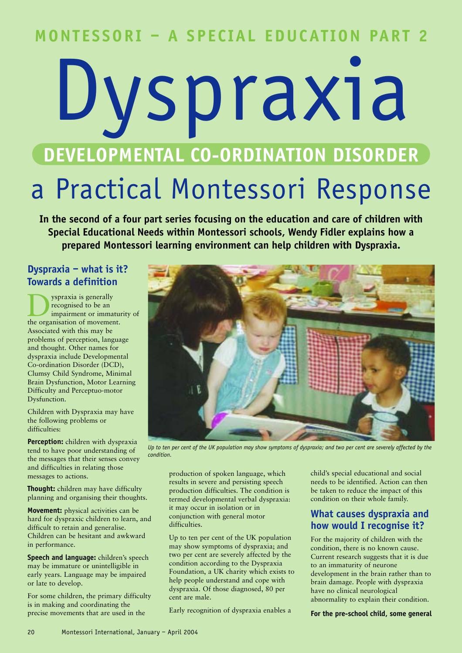## **MONTESSORI – A SPECIAL EDUCATION PART 2**

# Dyspraxia **DEVELOPMENTAL CO-ORDINATION DISORDER**

# a Practical Montessori Response

**In the second of a four part series focusing on the education and care of children with Special Educational Needs within Montessori schools, Wendy Fidler explains how a prepared Montessori learning environment can help children with Dyspraxia.**

#### **Dyspraxia – what is it? Towards a definition**

yspraxia is generally recognised to be an impairment or immaturity of the organisation of movement. Associated with this may be problems of perception, language and thought. Other names for dyspraxia include Developmental Co-ordination Disorder (DCD), Clumsy Child Syndrome, Minimal Brain Dysfunction, Motor Learning Difficulty and Perceptuo-motor Dysfunction.

Children with Dyspraxia may have the following problems or difficulties:

**Perception:** children with dyspraxia tend to have poor understanding of the messages that their senses convey and difficulties in relating those messages to actions.

**Thought:** children may have difficulty planning and organising their thoughts.

**Movement:** physical activities can be hard for dyspraxic children to learn, and difficult to retain and generalise. Children can be hesitant and awkward in performance.

**Speech and language:** children's speech may be immature or unintelligible in early years. Language may be impaired or late to develop.

For some children, the primary difficulty is in making and coordinating the precise movements that are used in the



*Up to ten per cent of the UK population may show symptoms of dyspraxia; and two per cent are severely affected by the condition.*

production of spoken language, which results in severe and persisting speech production difficulties. The condition is termed developmental verbal dyspraxia: it may occur in isolation or in conjunction with general motor difficulties.

Up to ten per cent of the UK population may show symptoms of dyspraxia; and two per cent are severely affected by the condition according to the Dyspraxia Foundation, a UK charity which exists to help people understand and cope with dyspraxia. Of those diagnosed, 80 per cent are male.

Early recognition of dyspraxia enables a

child's special educational and social needs to be identified. Action can then be taken to reduce the impact of this condition on their whole family.

#### **What causes dyspraxia and how would I recognise it?**

For the majority of children with the condition, there is no known cause. Current research suggests that it is due to an immaturity of neurone development in the brain rather than to brain damage. People with dyspraxia have no clinical neurological abnormality to explain their condition.

**For the pre-school child, some general**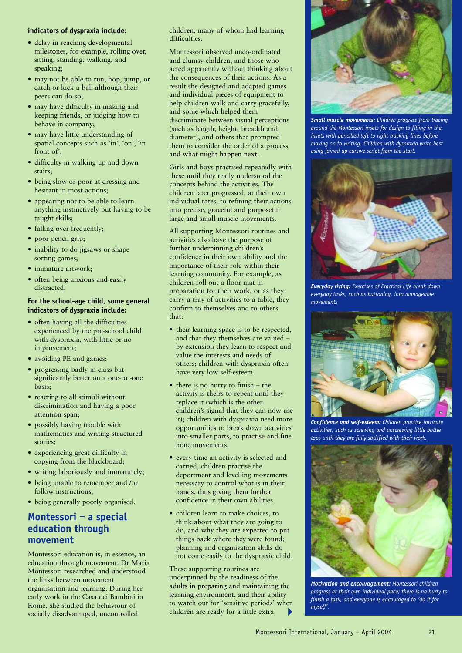#### **indicators of dyspraxia include:**

- delay in reaching developmental milestones, for example, rolling over, sitting, standing, walking, and speaking;
- may not be able to run, hop, jump, or catch or kick a ball although their peers can do so;
- may have difficulty in making and keeping friends, or judging how to behave in company;
- may have little understanding of spatial concepts such as 'in', 'on', 'in front of';
- difficulty in walking up and down stairs;
- being slow or poor at dressing and hesitant in most actions;
- appearing not to be able to learn anything instinctively but having to be taught skills;
- falling over frequently:
- poor pencil grip;
- inability to do jigsaws or shape sorting games;
- immature artwork:
- often being anxious and easily distracted.

#### **For the school-age child, some general indicators of dyspraxia include:**

- often having all the difficulties experienced by the pre-school child with dyspraxia, with little or no improvement;
- avoiding PE and games;
- progressing badly in class but significantly better on a one-to -one basis;
- reacting to all stimuli without discrimination and having a poor attention span;
- possibly having trouble with mathematics and writing structured stories;
- experiencing great difficulty in copying from the blackboard;
- writing laboriously and immaturely;
- being unable to remember and /or follow instructions;
- being generally poorly organised.

#### **Montessori – a special education through movement**

Montessori education is, in essence, an education through movement. Dr Maria Montessori researched and understood the links between movement organisation and learning. During her early work in the Casa dei Bambini in Rome, she studied the behaviour of socially disadvantaged, uncontrolled

children, many of whom had learning difficulties.

Montessori observed unco-ordinated and clumsy children, and those who acted apparently without thinking about the consequences of their actions. As a result she designed and adapted games and individual pieces of equipment to help children walk and carry gracefully, and some which helped them discriminate between visual perceptions (such as length, height, breadth and diameter), and others that prompted them to consider the order of a process and what might happen next.

Girls and boys practised repeatedly with these until they really understood the concepts behind the activities. The children later progressed, at their own individual rates, to refining their actions into precise, graceful and purposeful large and small muscle movements.

All supporting Montessori routines and activities also have the purpose of further underpinning children's confidence in their own ability and the importance of their role within their learning community. For example, as children roll out a floor mat in preparation for their work, or as they carry a tray of activities to a table, they confirm to themselves and to others that:

- their learning space is to be respected, and that they themselves are valued – by extension they learn to respect and value the interests and needs of others; children with dyspraxia often have very low self-esteem.
- there is no hurry to finish the activity is theirs to repeat until they replace it (which is the other children's signal that they can now use it); children with dyspraxia need more opportunities to break down activities into smaller parts, to practise and fine hone movements.
- every time an activity is selected and carried, children practise the deportment and levelling movements necessary to control what is in their hands, thus giving them further confidence in their own abilities.
- children learn to make choices, to think about what they are going to do, and why they are expected to put things back where they were found; planning and organisation skills do not come easily to the dyspraxic child.

These supporting routines are underpinned by the readiness of the adults in preparing and maintaining the learning environment, and their ability to watch out for 'sensitive periods' when children are ready for a little extra  $\blacktriangleright$ 



*Small muscle movements: Children progress from tracing around the Montessori insets for design to filling in the insets with pencilled left to right tracking lines before moving on to writing. Children with dyspraxia write best using joined up cursive script from the start.*



*Everyday living: Exercises of Practical Life break down everyday tasks, such as buttoning, into manageable movements*



*Confidence and self-esteem: Children practise intricate activities, such as screwing and unscrewing little bottle tops until they are fully satisfied with their work.*



*Motivation and encouragement: Montessori children progress at their own individual pace; there is no hurry to finish a task, and everyone is encouraged to 'do it for myself'.*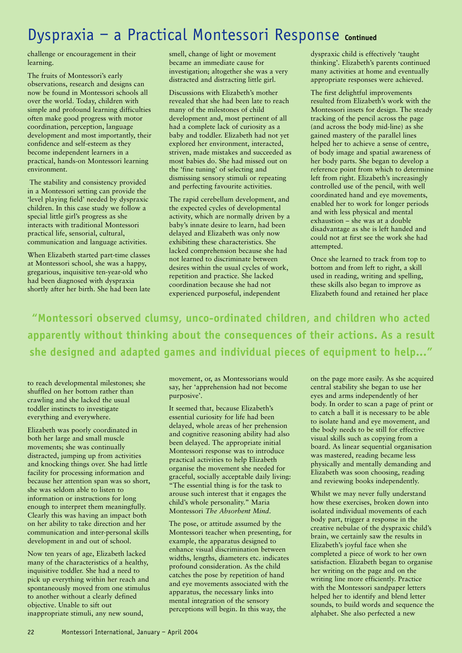## Dyspraxia - a Practical Montessori Response *continued*

challenge or encouragement in their learning.

The fruits of Montessori's early observations, research and designs can now be found in Montessori schools all over the world. Today, children with simple and profound learning difficulties often make good progress with motor coordination, perception, language development and most importantly, their confidence and self-esteem as they become independent learners in a practical, hands-on Montessori learning environment.

The stability and consistency provided in a Montessori setting can provide the 'level playing field' needed by dyspraxic children. In this case study we follow a special little girl's progress as she interacts with traditional Montessori practical life, sensorial, cultural, communication and language activities.

When Elizabeth started part-time classes at Montessori school, she was a happy, gregarious, inquisitive ten-year-old who had been diagnosed with dyspraxia shortly after her birth. She had been late smell, change of light or movement became an immediate cause for investigation; altogether she was a very distracted and distracting little girl.

Discussions with Elizabeth's mother revealed that she had been late to reach many of the milestones of child development and, most pertinent of all had a complete lack of curiosity as a baby and toddler. Elizabeth had not yet explored her environment, interacted, striven, made mistakes and succeeded as most babies do. She had missed out on the 'fine tuning' of selecting and dismissing sensory stimuli or repeating and perfecting favourite activities.

The rapid cerebellum development, and the expected cycles of developmental activity, which are normally driven by a baby's innate desire to learn, had been delayed and Elizabeth was only now exhibiting these characteristics. She lacked comprehension because she had not learned to discriminate between desires within the usual cycles of work, repetition and practice. She lacked coordination because she had not experienced purposeful, independent

dyspraxic child is effectively 'taught thinking'. Elizabeth's parents continued many activities at home and eventually appropriate responses were achieved.

The first delightful improvements resulted from Elizabeth's work with the Montessori insets for design. The steady tracking of the pencil across the page (and across the body mid-line) as she gained mastery of the parallel lines helped her to achieve a sense of centre, of body image and spatial awareness of her body parts. She began to develop a reference point from which to determine left from right. Elizabeth's increasingly controlled use of the pencil, with well coordinated hand and eye movements, enabled her to work for longer periods and with less physical and mental exhaustion – she was at a double disadvantage as she is left handed and could not at first see the work she had attempted.

Once she learned to track from top to bottom and from left to right, a skill used in reading, writing and spelling, these skills also began to improve as Elizabeth found and retained her place

**"Montessori observed clumsy, unco-ordinated children, and children who acted apparently without thinking about the consequences of their actions. As a result she designed and adapted games and individual pieces of equipment to help..."**

to reach developmental milestones; she shuffled on her bottom rather than crawling and she lacked the usual toddler instincts to investigate everything and everywhere.

Elizabeth was poorly coordinated in both her large and small muscle movements; she was continually distracted, jumping up from activities and knocking things over. She had little facility for processing information and because her attention span was so short, she was seldom able to listen to information or instructions for long enough to interpret them meaningfully. Clearly this was having an impact both on her ability to take direction and her communication and inter-personal skills development in and out of school.

Now ten years of age, Elizabeth lacked many of the characteristics of a healthy, inquisitive toddler. She had a need to pick up everything within her reach and spontaneously moved from one stimulus to another without a clearly defined objective. Unable to sift out inappropriate stimuli, any new sound,

movement, or, as Montessorians would say, her 'apprehension had not become purposive'.

It seemed that, because Elizabeth's essential curiosity for life had been delayed, whole areas of her prehension and cognitive reasoning ability had also been delayed. The appropriate initial Montessori response was to introduce practical activities to help Elizabeth organise the movement she needed for graceful, socially acceptable daily living: "The essential thing is for the task to arouse such interest that it engages the child's whole personality." Maria Montessori *The Absorbent Mind*.

The pose, or attitude assumed by the Montessori teacher when presenting, for example, the apparatus designed to enhance visual discrimination between widths, lengths, diameters etc. indicates profound consideration. As the child catches the pose by repetition of hand and eye movements associated with the apparatus, the necessary links into mental integration of the sensory perceptions will begin. In this way, the

on the page more easily. As she acquired central stability she began to use her eyes and arms independently of her body. In order to scan a page of print or to catch a ball it is necessary to be able to isolate hand and eye movement, and the body needs to be still for effective visual skills such as copying from a board. As linear sequential organisation was mastered, reading became less physically and mentally demanding and Elizabeth was soon choosing, reading and reviewing books independently.

Whilst we may never fully understand how these exercises, broken down into isolated individual movements of each body part, trigger a response in the creative nebulae of the dyspraxic child's brain, we certainly saw the results in Elizabeth's joyful face when she completed a piece of work to her own satisfaction. Elizabeth began to organise her writing on the page and on the writing line more efficiently. Practice with the Montessori sandpaper letters helped her to identify and blend letter sounds, to build words and sequence the alphabet. She also perfected a new